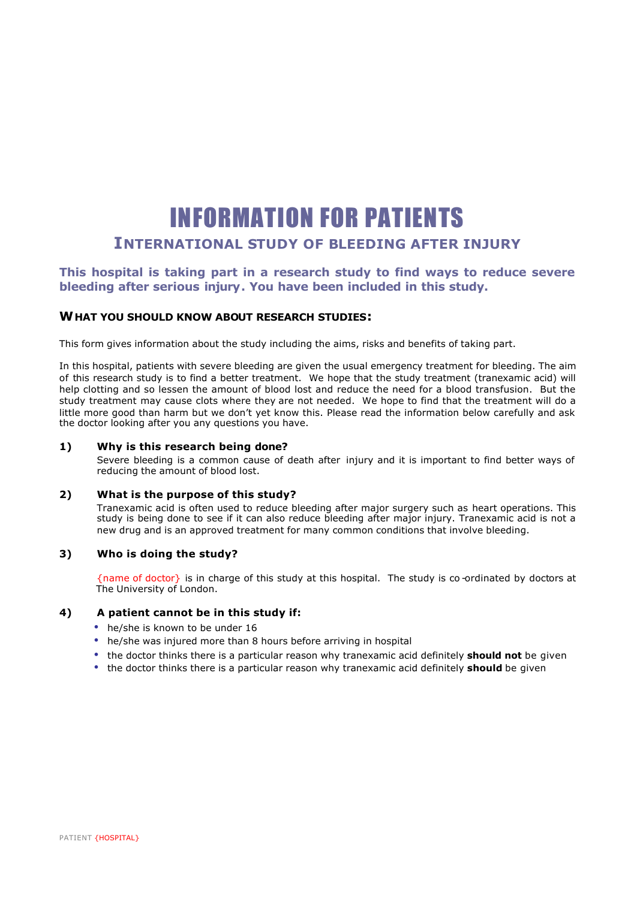## INFORMATION FOR PATIENTS **INTERNATIONAL STUDY OF BLEEDING AFTER INJURY**

## **This hospital is taking part in a research study to find ways to reduce severe bleeding after serious injury. You have been included in this study.**

## **WHAT YOU SHOULD KNOW ABOUT RESEARCH STUDIES:**

This form gives information about the study including the aims, risks and benefits of taking part.

In this hospital, patients with severe bleeding are given the usual emergency treatment for bleeding. The aim of this research study is to find a better treatment. We hope that the study treatment (tranexamic acid) will help clotting and so lessen the amount of blood lost and reduce the need for a blood transfusion. But the study treatment may cause clots where they are not needed. We hope to find that the treatment will do a little more good than harm but we don't yet know this. Please read the information below carefully and ask the doctor looking after you any questions you have.

#### **1) Why is this research being done?**

Severe bleeding is a common cause of death after injury and it is important to find better ways of reducing the amount of blood lost.

#### **2) What is the purpose of this study?**

Tranexamic acid is often used to reduce bleeding after major surgery such as heart operations. This study is being done to see if it can also reduce bleeding after major injury. Tranexamic acid is not a new drug and is an approved treatment for many common conditions that involve bleeding.

#### **3) Who is doing the study?**

{name of doctor} is in charge of this study at this hospital. The study is co -ordinated by doctors at The University of London.

## **4) A patient cannot be in this study if:**

- he/she is known to be under 16
- he/she was injured more than 8 hours before arriving in hospital
- the doctor thinks there is a particular reason why tranexamic acid definitely **should not** be given
- the doctor thinks there is a particular reason why tranexamic acid definitely **should** be given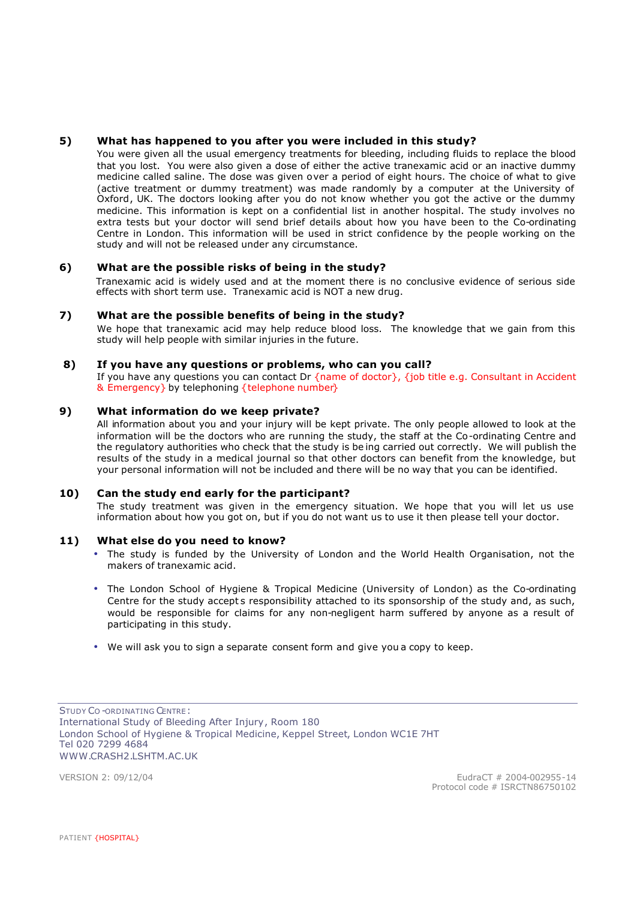## **5) What has happened to you after you were included in this study?**

You were given all the usual emergency treatments for bleeding, including fluids to replace the blood that you lost. You were also given a dose of either the active tranexamic acid or an inactive dummy medicine called saline. The dose was given over a period of eight hours. The choice of what to give (active treatment or dummy treatment) was made randomly by a computer at the University of Oxford, UK. The doctors looking after you do not know whether you got the active or the dummy medicine. This information is kept on a confidential list in another hospital. The study involves no extra tests but your doctor will send brief details about how you have been to the Co-ordinating Centre in London. This information will be used in strict confidence by the people working on the study and will not be released under any circumstance.

### **6) What are the possible risks of being in the study?**

Tranexamic acid is widely used and at the moment there is no conclusive evidence of serious side effects with short term use. Tranexamic acid is NOT a new drug.

#### **7) What are the possible benefits of being in the study?**

We hope that tranexamic acid may help reduce blood loss. The knowledge that we gain from this study will help people with similar injuries in the future.

#### **8) If you have any questions or problems, who can you call?**

If you have any questions you can contact Dr {name of doctor}, {job title e.g. Consultant in Accident & Emergency} by telephoning {telephone number}

#### **9) What information do we keep private?**

All information about you and your injury will be kept private. The only people allowed to look at the information will be the doctors who are running the study, the staff at the Co-ordinating Centre and the regulatory authorities who check that the study is be ing carried out correctly. We will publish the results of the study in a medical journal so that other doctors can benefit from the knowledge, but your personal information will not be included and there will be no way that you can be identified.

#### **10) Can the study end early for the participant?**

The study treatment was given in the emergency situation. We hope that you will let us use information about how you got on, but if you do not want us to use it then please tell your doctor.

#### **11) What else do you need to know?**

- The study is funded by the University of London and the World Health Organisation, not the makers of tranexamic acid.
- The London School of Hygiene & Tropical Medicine (University of London) as the Co-ordinating Centre for the study accepts responsibility attached to its sponsorship of the study and, as such, would be responsible for claims for any non-negligent harm suffered by anyone as a result of participating in this study.
- We will ask you to sign a separate consent form and give you a copy to keep.

STUDY CO -ORDINATING CENTRE: International Study of Bleeding After Injury, Room 180 London School of Hygiene & Tropical Medicine, Keppel Street, London WC1E 7HT Tel 020 7299 4684 WWW.CRASH2.LSHTM.AC.UK

VERSION 2: 09/12/04 EudraCT # 2004-002955-14 Protocol code # ISRCTN86750102